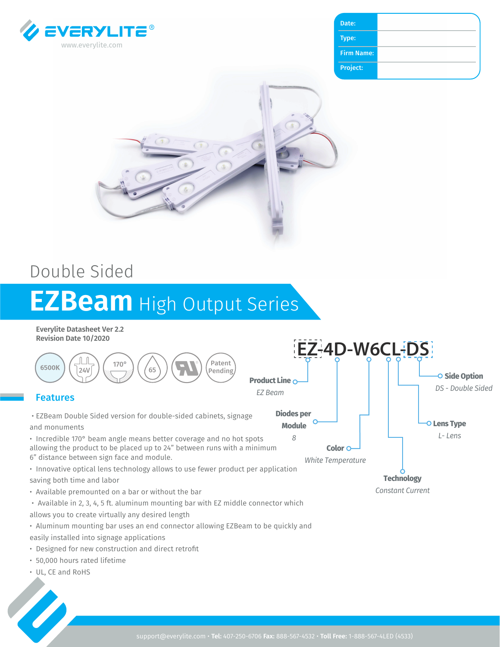

| Date:             |  |
|-------------------|--|
| Type:             |  |
| <b>Firm Name:</b> |  |
| Project:          |  |



## Double Sided

# **EZBeam** High Output Series

**Everylite Datasheet Ver 2.2 Revision Date 10/2020**



- Designed for new construction and direct retrofit
- 50,000 hours rated lifetime
- UL, CE and RoHS